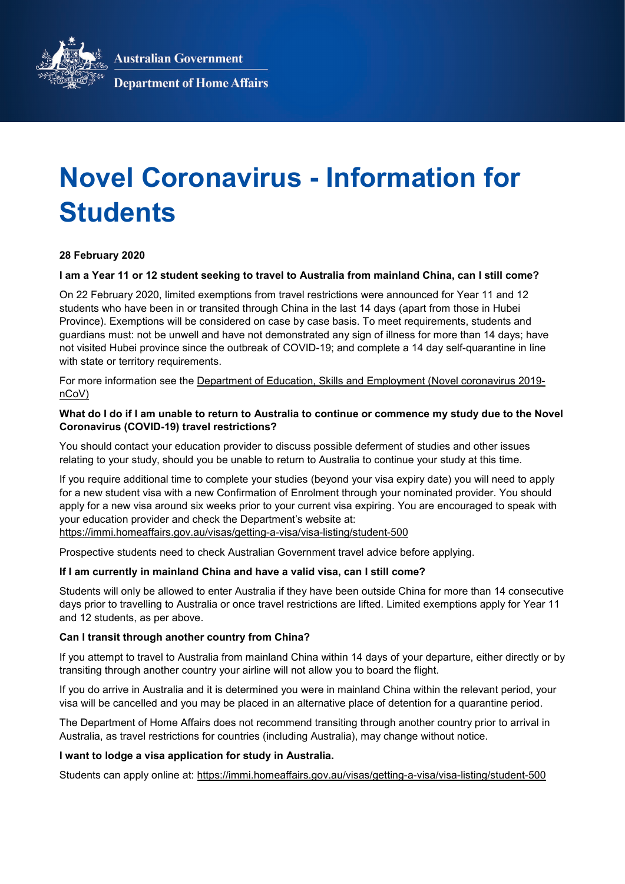**Australian Government** 



**Department of Home Affairs** 

# **Novel Coronavirus - Information for Students**

# **28 February 2020**

#### **I am a Year 11 or 12 student seeking to travel to Australia from mainland China, can I still come?**

On 22 February 2020, limited exemptions from travel restrictions were announced for Year 11 and 12 students who have been in or transited through China in the last 14 days (apart from those in Hubei Province). Exemptions will be considered on case by case basis. To meet requirements, students and guardians must: not be unwell and have not demonstrated any sign of illness for more than 14 days; have not visited Hubei province since the outbreak of COVID-19; and complete a 14 day self-quarantine in line with state or territory requirements.

For more information see the [Department of Education, Skills and Employment \(Novel coronavirus 2019](https://www.dese.gov.au/news/novel-coronavirus-2019-ncov) [nCoV\)](https://www.dese.gov.au/news/novel-coronavirus-2019-ncov)

## **What do I do if I am unable to return to Australia to continue or commence my study due to the Novel Coronavirus (COVID-19) travel restrictions?**

You should contact your education provider to discuss possible deferment of studies and other issues relating to your study, should you be unable to return to Australia to continue your study at this time.

If you require additional time to complete your studies (beyond your visa expiry date) you will need to apply for a new student visa with a new Confirmation of Enrolment through your nominated provider. You should apply for a new visa around six weeks prior to your current visa expiring. You are encouraged to speak with your education provider and check the Department's website at:

<https://immi.homeaffairs.gov.au/visas/getting-a-visa/visa-listing/student-500>

Prospective students need to check Australian Government travel advice before applying.

#### **If I am currently in mainland China and have a valid visa, can I still come?**

Students will only be allowed to enter Australia if they have been outside China for more than 14 consecutive days prior to travelling to Australia or once travel restrictions are lifted. Limited exemptions apply for Year 11 and 12 students, as per above.

## **Can I transit through another country from China?**

If you attempt to travel to Australia from mainland China within 14 days of your departure, either directly or by transiting through another country your airline will not allow you to board the flight.

If you do arrive in Australia and it is determined you were in mainland China within the relevant period, your visa will be cancelled and you may be placed in an alternative place of detention for a quarantine period.

The Department of Home Affairs does not recommend transiting through another country prior to arrival in Australia, as travel restrictions for countries (including Australia), may change without notice.

#### **I want to lodge a visa application for study in Australia.**

Students can apply online at:<https://immi.homeaffairs.gov.au/visas/getting-a-visa/visa-listing/student-500>